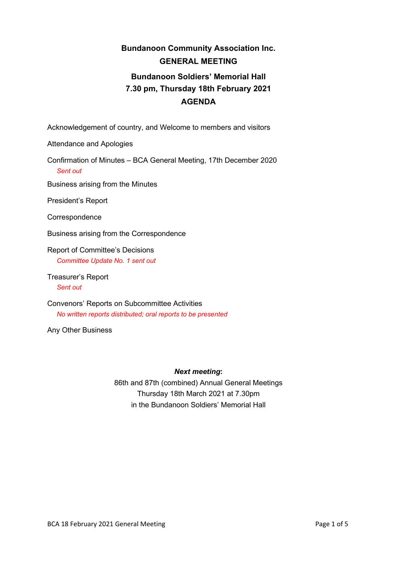## **Bundanoon Community Association Inc. GENERAL MEETING Bundanoon Soldiers' Memorial Hall 7.30 pm, Thursday 18th February 2021 AGENDA**

Acknowledgement of country, and Welcome to members and visitors

Attendance and Apologies

Confirmation of Minutes – BCA General Meeting, 17th December 2020 *Sent out*

Business arising from the Minutes

President's Report

**Correspondence** 

Business arising from the Correspondence

Report of Committee's Decisions *Committee Update No. 1 sent out*

Treasurer's Report *Sent out*

Convenors' Reports on Subcommittee Activities *No written reports distributed; oral reports to be presented*

Any Other Business

#### *Next meeting***:**

86th and 87th (combined) Annual General Meetings Thursday 18th March 2021 at 7.30pm in the Bundanoon Soldiers' Memorial Hall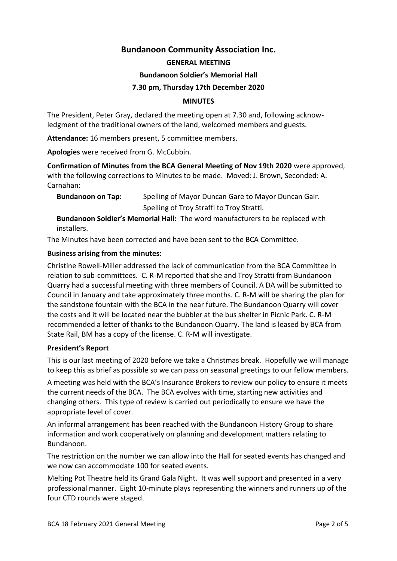## **Bundanoon Community Association Inc.**

#### **GENERAL MEETING**

#### **Bundanoon Soldier's Memorial Hall**

#### **7.30 pm, Thursday 17th December 2020**

#### **MINUTES**

The President, Peter Gray, declared the meeting open at 7.30 and, following acknowledgment of the traditional owners of the land, welcomed members and guests.

**Attendance:** 16 members present, 5 committee members.

**Apologies** were received from G. McCubbin.

**Confirmation of Minutes from the BCA General Meeting of Nov 19th 2020** were approved, with the following corrections to Minutes to be made. Moved: J. Brown, Seconded: A. Carnahan:

**Bundanoon on Tap:** Spelling of Mayor Duncan Gare to Mayor Duncan Gair. Spelling of Troy Straffi to Troy Stratti.

**Bundanoon Soldier's Memorial Hall:** The word manufacturers to be replaced with installers.

The Minutes have been corrected and have been sent to the BCA Committee.

#### **Business arising from the minutes:**

Christine Rowell-Miller addressed the lack of communication from the BCA Committee in relation to sub-committees. C. R-M reported that she and Troy Stratti from Bundanoon Quarry had a successful meeting with three members of Council. A DA will be submitted to Council in January and take approximately three months. C. R-M will be sharing the plan for the sandstone fountain with the BCA in the near future. The Bundanoon Quarry will cover the costs and it will be located near the bubbler at the bus shelter in Picnic Park. C. R-M recommended a letter of thanks to the Bundanoon Quarry. The land is leased by BCA from State Rail, BM has a copy of the license. C. R-M will investigate.

#### **President's Report**

This is our last meeting of 2020 before we take a Christmas break. Hopefully we will manage to keep this as brief as possible so we can pass on seasonal greetings to our fellow members.

A meeting was held with the BCA's Insurance Brokers to review our policy to ensure it meets the current needs of the BCA. The BCA evolves with time, starting new activities and changing others. This type of review is carried out periodically to ensure we have the appropriate level of cover.

An informal arrangement has been reached with the Bundanoon History Group to share information and work cooperatively on planning and development matters relating to Bundanoon.

The restriction on the number we can allow into the Hall for seated events has changed and we now can accommodate 100 for seated events.

Melting Pot Theatre held its Grand Gala Night. It was well support and presented in a very professional manner. Eight 10-minute plays representing the winners and runners up of the four CTD rounds were staged.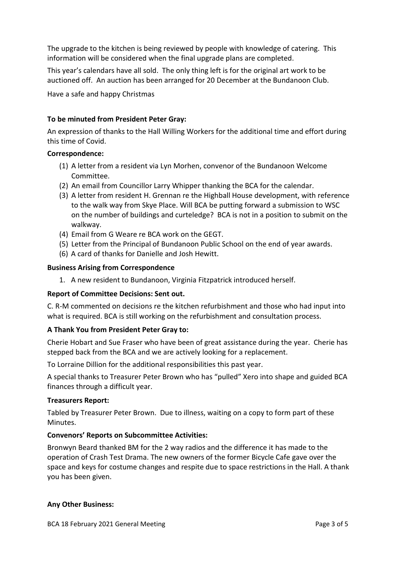The upgrade to the kitchen is being reviewed by people with knowledge of catering. This information will be considered when the final upgrade plans are completed.

This year's calendars have all sold. The only thing left is for the original art work to be auctioned off. An auction has been arranged for 20 December at the Bundanoon Club.

Have a safe and happy Christmas

## **To be minuted from President Peter Gray:**

An expression of thanks to the Hall Willing Workers for the additional time and effort during this time of Covid.

## **Correspondence:**

- (1) A letter from a resident via Lyn Morhen, convenor of the Bundanoon Welcome Committee.
- (2) An email from Councillor Larry Whipper thanking the BCA for the calendar.
- (3) A letter from resident H. Grennan re the Highball House development, with reference to the walk way from Skye Place. Will BCA be putting forward a submission to WSC on the number of buildings and curteledge? BCA is not in a position to submit on the walkway.
- (4) Email from G Weare re BCA work on the GEGT.
- (5) Letter from the Principal of Bundanoon Public School on the end of year awards.
- (6) A card of thanks for Danielle and Josh Hewitt.

#### **Business Arising from Correspondence**

1. A new resident to Bundanoon, Virginia Fitzpatrick introduced herself.

## **Report of Committee Decisions: Sent out.**

C. R-M commented on decisions re the kitchen refurbishment and those who had input into what is required. BCA is still working on the refurbishment and consultation process.

## **A Thank You from President Peter Gray to:**

Cherie Hobart and Sue Fraser who have been of great assistance during the year. Cherie has stepped back from the BCA and we are actively looking for a replacement.

To Lorraine Dillion for the additional responsibilities this past year.

A special thanks to Treasurer Peter Brown who has "pulled" Xero into shape and guided BCA finances through a difficult year.

## **Treasurers Report:**

Tabled by Treasurer Peter Brown. Due to illness, waiting on a copy to form part of these Minutes.

## **Convenors' Reports on Subcommittee Activities:**

Bronwyn Beard thanked BM for the 2 way radios and the difference it has made to the operation of Crash Test Drama. The new owners of the former Bicycle Cafe gave over the space and keys for costume changes and respite due to space restrictions in the Hall. A thank you has been given.

## **Any Other Business:**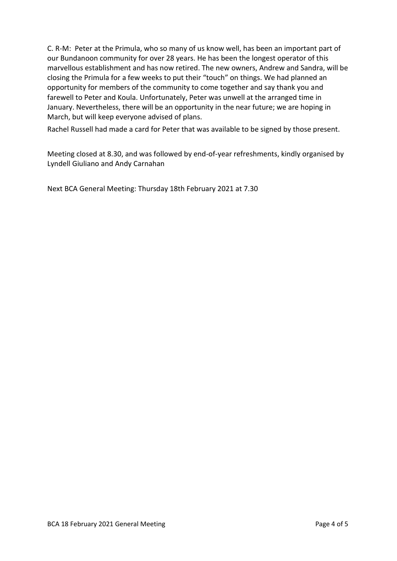C. R-M: Peter at the Primula, who so many of us know well, has been an important part of our Bundanoon community for over 28 years. He has been the longest operator of this marvellous establishment and has now retired. The new owners, Andrew and Sandra, will be closing the Primula for a few weeks to put their "touch" on things. We had planned an opportunity for members of the community to come together and say thank you and farewell to Peter and Koula. Unfortunately, Peter was unwell at the arranged time in January. Nevertheless, there will be an opportunity in the near future; we are hoping in March, but will keep everyone advised of plans.

Rachel Russell had made a card for Peter that was available to be signed by those present.

Meeting closed at 8.30, and was followed by end-of-year refreshments, kindly organised by Lyndell Giuliano and Andy Carnahan

Next BCA General Meeting: Thursday 18th February 2021 at 7.30